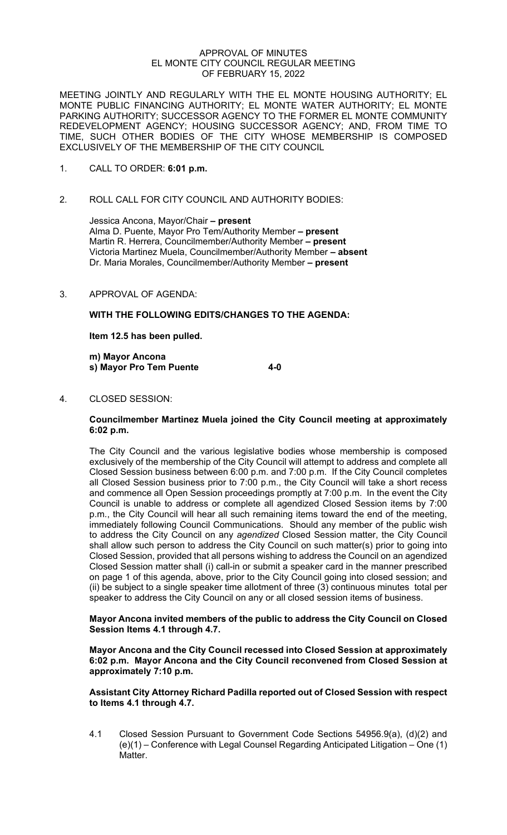### APPROVAL OF MINUTES EL MONTE CITY COUNCIL REGULAR MEETING OF FEBRUARY 15, 2022

MEETING JOINTLY AND REGULARLY WITH THE EL MONTE HOUSING AUTHORITY; EL MONTE PUBLIC FINANCING AUTHORITY; EL MONTE WATER AUTHORITY; EL MONTE PARKING AUTHORITY; SUCCESSOR AGENCY TO THE FORMER EL MONTE COMMUNITY REDEVELOPMENT AGENCY; HOUSING SUCCESSOR AGENCY; AND, FROM TIME TO TIME, SUCH OTHER BODIES OF THE CITY WHOSE MEMBERSHIP IS COMPOSED EXCLUSIVELY OF THE MEMBERSHIP OF THE CITY COUNCIL

- 1. CALL TO ORDER: **6:01 p.m.**
- 2. ROLL CALL FOR CITY COUNCIL AND AUTHORITY BODIES:

Jessica Ancona, Mayor/Chair **– present**  Alma D. Puente, Mayor Pro Tem/Authority Member **– present** Martin R. Herrera, Councilmember/Authority Member **– present** Victoria Martinez Muela, Councilmember/Authority Member **– absent** Dr. Maria Morales, Councilmember/Authority Member **– present**

3. APPROVAL OF AGENDA:

**WITH THE FOLLOWING EDITS/CHANGES TO THE AGENDA:** 

**Item 12.5 has been pulled.** 

**m) Mayor Ancona s) Mayor Pro Tem Puente 4-0** 

4. CLOSED SESSION:

### **Councilmember Martinez Muela joined the City Council meeting at approximately 6:02 p.m.**

The City Council and the various legislative bodies whose membership is composed exclusively of the membership of the City Council will attempt to address and complete all Closed Session business between 6:00 p.m. and 7:00 p.m. If the City Council completes all Closed Session business prior to 7:00 p.m., the City Council will take a short recess and commence all Open Session proceedings promptly at 7:00 p.m. In the event the City Council is unable to address or complete all agendized Closed Session items by 7:00 p.m., the City Council will hear all such remaining items toward the end of the meeting, immediately following Council Communications. Should any member of the public wish to address the City Council on any *agendized* Closed Session matter, the City Council shall allow such person to address the City Council on such matter(s) prior to going into Closed Session, provided that all persons wishing to address the Council on an agendized Closed Session matter shall (i) call-in or submit a speaker card in the manner prescribed on page 1 of this agenda, above, prior to the City Council going into closed session; and (ii) be subject to a single speaker time allotment of three (3) continuous minutes total per speaker to address the City Council on any or all closed session items of business.

### **Mayor Ancona invited members of the public to address the City Council on Closed Session Items 4.1 through 4.7.**

**Mayor Ancona and the City Council recessed into Closed Session at approximately 6:02 p.m. Mayor Ancona and the City Council reconvened from Closed Session at approximately 7:10 p.m.** 

## **Assistant City Attorney Richard Padilla reported out of Closed Session with respect to Items 4.1 through 4.7.**

4.1 Closed Session Pursuant to Government Code Sections 54956.9(a), (d)(2) and (e)(1) – Conference with Legal Counsel Regarding Anticipated Litigation – One (1) Matter.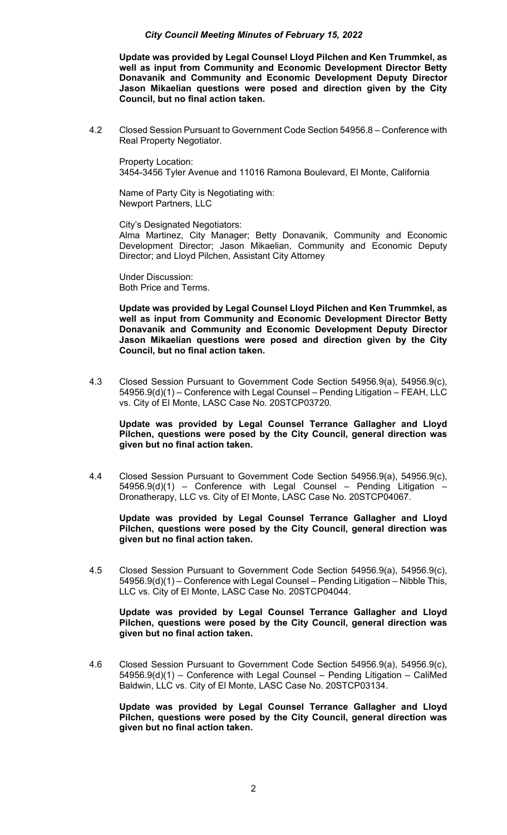**Update was provided by Legal Counsel Lloyd Pilchen and Ken Trummkel, as well as input from Community and Economic Development Director Betty Donavanik and Community and Economic Development Deputy Director Jason Mikaelian questions were posed and direction given by the City Council, but no final action taken.** 

4.2 Closed Session Pursuant to Government Code Section 54956.8 – Conference with Real Property Negotiator.

 Property Location: 3454-3456 Tyler Avenue and 11016 Ramona Boulevard, El Monte, California

 Name of Party City is Negotiating with: Newport Partners, LLC

City's Designated Negotiators:

 Alma Martinez, City Manager; Betty Donavanik, Community and Economic Development Director; Jason Mikaelian, Community and Economic Deputy Director; and Lloyd Pilchen, Assistant City Attorney

 Under Discussion: Both Price and Terms.

**Update was provided by Legal Counsel Lloyd Pilchen and Ken Trummkel, as well as input from Community and Economic Development Director Betty Donavanik and Community and Economic Development Deputy Director Jason Mikaelian questions were posed and direction given by the City Council, but no final action taken.** 

4.3 Closed Session Pursuant to Government Code Section 54956.9(a), 54956.9(c), 54956.9(d)(1) – Conference with Legal Counsel – Pending Litigation – FEAH, LLC vs. City of El Monte, LASC Case No. 20STCP03720.

 **Update was provided by Legal Counsel Terrance Gallagher and Lloyd Pilchen, questions were posed by the City Council, general direction was given but no final action taken.** 

4.4 Closed Session Pursuant to Government Code Section 54956.9(a), 54956.9(c),  $54956.9(d)(1)$  – Conference with Legal Counsel – Pending Litigation Dronatherapy, LLC vs. City of El Monte, LASC Case No. 20STCP04067.

**Update was provided by Legal Counsel Terrance Gallagher and Lloyd Pilchen, questions were posed by the City Council, general direction was given but no final action taken.** 

4.5 Closed Session Pursuant to Government Code Section 54956.9(a), 54956.9(c), 54956.9(d)(1) – Conference with Legal Counsel – Pending Litigation – Nibble This, LLC vs. City of El Monte, LASC Case No. 20STCP04044.

**Update was provided by Legal Counsel Terrance Gallagher and Lloyd Pilchen, questions were posed by the City Council, general direction was given but no final action taken.** 

4.6 Closed Session Pursuant to Government Code Section 54956.9(a), 54956.9(c), 54956.9(d)(1) – Conference with Legal Counsel – Pending Litigation – CaliMed Baldwin, LLC vs. City of El Monte, LASC Case No. 20STCP03134.

**Update was provided by Legal Counsel Terrance Gallagher and Lloyd Pilchen, questions were posed by the City Council, general direction was given but no final action taken.**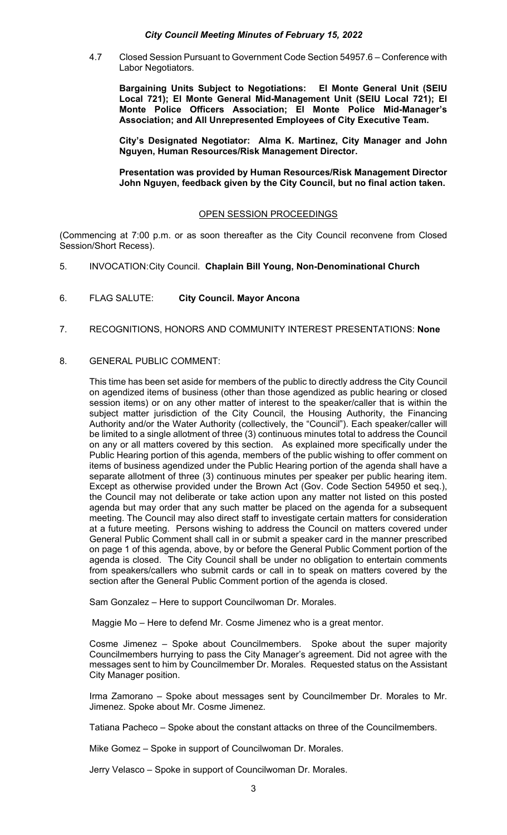4.7 Closed Session Pursuant to Government Code Section 54957.6 – Conference with Labor Negotiators.

**Bargaining Units Subject to Negotiations: El Monte General Unit (SEIU Local 721); El Monte General Mid-Management Unit (SEIU Local 721); El Monte Police Officers Association; El Monte Police Mid-Manager's Association; and All Unrepresented Employees of City Executive Team.** 

**City's Designated Negotiator: Alma K. Martinez, City Manager and John Nguyen, Human Resources/Risk Management Director.** 

**Presentation was provided by Human Resources/Risk Management Director John Nguyen, feedback given by the City Council, but no final action taken.** 

## OPEN SESSION PROCEEDINGS

(Commencing at 7:00 p.m. or as soon thereafter as the City Council reconvene from Closed Session/Short Recess).

- 5. INVOCATION: City Council. **Chaplain Bill Young, Non-Denominational Church**
- 6. FLAG SALUTE: **City Council. Mayor Ancona**
- 7. RECOGNITIONS, HONORS AND COMMUNITY INTEREST PRESENTATIONS: **None**

## 8. GENERAL PUBLIC COMMENT:

This time has been set aside for members of the public to directly address the City Council on agendized items of business (other than those agendized as public hearing or closed session items) or on any other matter of interest to the speaker/caller that is within the subject matter jurisdiction of the City Council, the Housing Authority, the Financing Authority and/or the Water Authority (collectively, the "Council"). Each speaker/caller will be limited to a single allotment of three (3) continuous minutes total to address the Council on any or all matters covered by this section. As explained more specifically under the Public Hearing portion of this agenda, members of the public wishing to offer comment on items of business agendized under the Public Hearing portion of the agenda shall have a separate allotment of three (3) continuous minutes per speaker per public hearing item. Except as otherwise provided under the Brown Act (Gov. Code Section 54950 et seq.), the Council may not deliberate or take action upon any matter not listed on this posted agenda but may order that any such matter be placed on the agenda for a subsequent meeting. The Council may also direct staff to investigate certain matters for consideration at a future meeting. Persons wishing to address the Council on matters covered under General Public Comment shall call in or submit a speaker card in the manner prescribed on page 1 of this agenda, above, by or before the General Public Comment portion of the agenda is closed. The City Council shall be under no obligation to entertain comments from speakers/callers who submit cards or call in to speak on matters covered by the section after the General Public Comment portion of the agenda is closed.

Sam Gonzalez – Here to support Councilwoman Dr. Morales.

Maggie Mo – Here to defend Mr. Cosme Jimenez who is a great mentor.

Cosme Jimenez – Spoke about Councilmembers. Spoke about the super majority Councilmembers hurrying to pass the City Manager's agreement. Did not agree with the messages sent to him by Councilmember Dr. Morales. Requested status on the Assistant City Manager position.

Irma Zamorano – Spoke about messages sent by Councilmember Dr. Morales to Mr. Jimenez. Spoke about Mr. Cosme Jimenez.

Tatiana Pacheco – Spoke about the constant attacks on three of the Councilmembers.

Mike Gomez – Spoke in support of Councilwoman Dr. Morales.

Jerry Velasco – Spoke in support of Councilwoman Dr. Morales.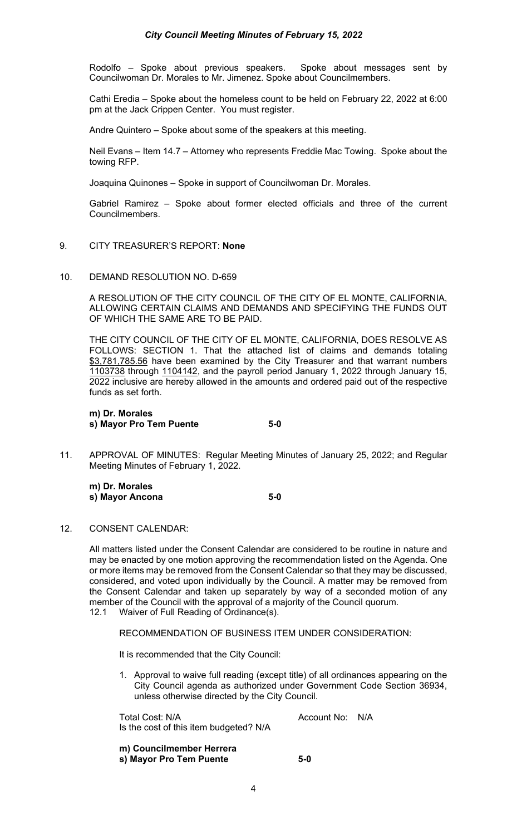Rodolfo – Spoke about previous speakers. Spoke about messages sent by Councilwoman Dr. Morales to Mr. Jimenez. Spoke about Councilmembers.

Cathi Eredia – Spoke about the homeless count to be held on February 22, 2022 at 6:00 pm at the Jack Crippen Center. You must register.

Andre Quintero – Spoke about some of the speakers at this meeting.

Neil Evans – Item 14.7 – Attorney who represents Freddie Mac Towing. Spoke about the towing RFP.

Joaquina Quinones – Spoke in support of Councilwoman Dr. Morales.

Gabriel Ramirez – Spoke about former elected officials and three of the current Councilmembers.

- 9. CITY TREASURER'S REPORT: **None**
- 10. DEMAND RESOLUTION NO. D-659

A RESOLUTION OF THE CITY COUNCIL OF THE CITY OF EL MONTE, CALIFORNIA, ALLOWING CERTAIN CLAIMS AND DEMANDS AND SPECIFYING THE FUNDS OUT OF WHICH THE SAME ARE TO BE PAID.

THE CITY COUNCIL OF THE CITY OF EL MONTE, CALIFORNIA, DOES RESOLVE AS FOLLOWS: SECTION 1. That the attached list of claims and demands totaling \$3,781,785.56 have been examined by the City Treasurer and that warrant numbers 1103738 through 1104142, and the payroll period January 1, 2022 through January 15, 2022 inclusive are hereby allowed in the amounts and ordered paid out of the respective funds as set forth.

**m) Dr. Morales s) Mayor Pro Tem Puente 5-0** 

11. APPROVAL OF MINUTES: Regular Meeting Minutes of January 25, 2022; and Regular Meeting Minutes of February 1, 2022.

 **m) Dr. Morales s**) Mayor Ancona 5-0

12. CONSENT CALENDAR:

All matters listed under the Consent Calendar are considered to be routine in nature and may be enacted by one motion approving the recommendation listed on the Agenda. One or more items may be removed from the Consent Calendar so that they may be discussed, considered, and voted upon individually by the Council. A matter may be removed from the Consent Calendar and taken up separately by way of a seconded motion of any member of the Council with the approval of a majority of the Council quorum.

12.1 Waiver of Full Reading of Ordinance(s).

RECOMMENDATION OF BUSINESS ITEM UNDER CONSIDERATION:

It is recommended that the City Council:

1. Approval to waive full reading (except title) of all ordinances appearing on the City Council agenda as authorized under Government Code Section 36934, unless otherwise directed by the City Council.

Total Cost: N/A and Cost: N/A Account No: N/A Is the cost of this item budgeted? N/A

**m) Councilmember Herrera s) Mayor Pro Tem Puente 5-0**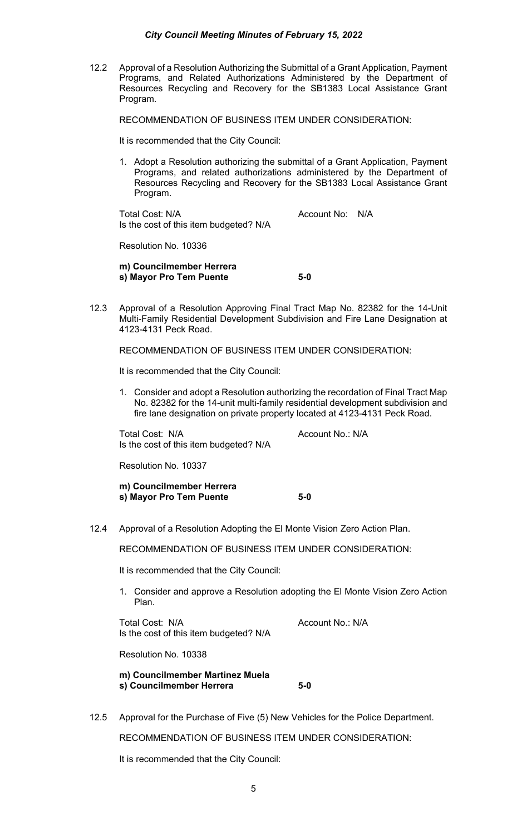12.2 Approval of a Resolution Authorizing the Submittal of a Grant Application, Payment Programs, and Related Authorizations Administered by the Department of Resources Recycling and Recovery for the SB1383 Local Assistance Grant Program.

RECOMMENDATION OF BUSINESS ITEM UNDER CONSIDERATION:

It is recommended that the City Council:

1. Adopt a Resolution authorizing the submittal of a Grant Application, Payment Programs, and related authorizations administered by the Department of Resources Recycling and Recovery for the SB1383 Local Assistance Grant Program.

Total Cost: N/A Account No: N/A Is the cost of this item budgeted? N/A

Resolution No. 10336

**m) Councilmember Herrera s) Mayor Pro Tem Puente 5-0** 

12.3 Approval of a Resolution Approving Final Tract Map No. 82382 for the 14-Unit Multi-Family Residential Development Subdivision and Fire Lane Designation at 4123-4131 Peck Road.

RECOMMENDATION OF BUSINESS ITEM UNDER CONSIDERATION:

It is recommended that the City Council:

1. Consider and adopt a Resolution authorizing the recordation of Final Tract Map No. 82382 for the 14-unit multi-family residential development subdivision and fire lane designation on private property located at 4123-4131 Peck Road.

Total Cost: N/A Account No.: N/A Is the cost of this item budgeted? N/A

Resolution No. 10337

**m) Councilmember Herrera s) Mayor Pro Tem Puente 5-0** 

12.4 Approval of a Resolution Adopting the El Monte Vision Zero Action Plan.

RECOMMENDATION OF BUSINESS ITEM UNDER CONSIDERATION:

It is recommended that the City Council:

1. Consider and approve a Resolution adopting the El Monte Vision Zero Action Plan.

Total Cost: N/A Account No.: N/A Is the cost of this item budgeted? N/A

Resolution No. 10338

**m) Councilmember Martinez Muela s) Councilmember Herrera 5-0** 

12.5 Approval for the Purchase of Five (5) New Vehicles for the Police Department.

RECOMMENDATION OF BUSINESS ITEM UNDER CONSIDERATION:

It is recommended that the City Council: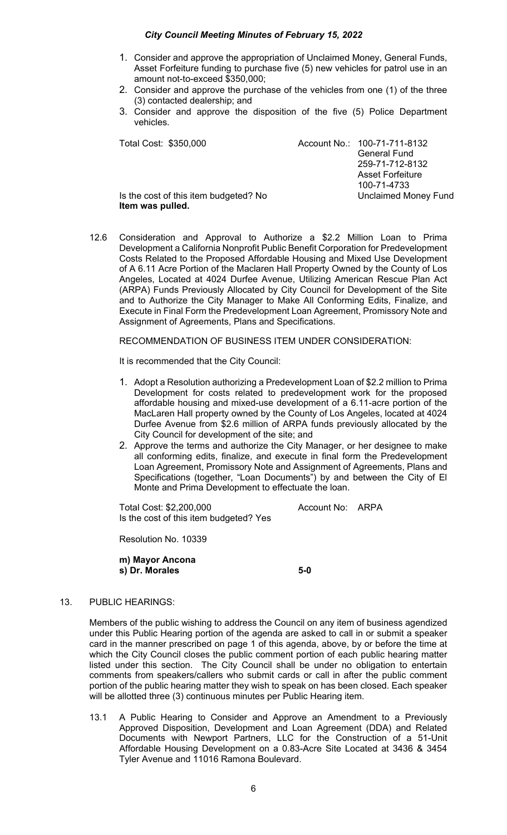- 1. Consider and approve the appropriation of Unclaimed Money, General Funds, Asset Forfeiture funding to purchase five (5) new vehicles for patrol use in an amount not-to-exceed \$350,000;
- 2. Consider and approve the purchase of the vehicles from one (1) of the three (3) contacted dealership; and
- 3. Consider and approve the disposition of the five (5) Police Department vehicles.

| Total Cost: \$350,000                                    | Account No.: 100-71-711-8132 |
|----------------------------------------------------------|------------------------------|
|                                                          | <b>General Fund</b>          |
|                                                          | 259-71-712-8132              |
|                                                          | <b>Asset Forfeiture</b>      |
|                                                          | 100-71-4733                  |
| Is the cost of this item budgeted? No<br>ltom wae nullod | <b>Unclaimed Money Fund</b>  |

- **Item was pulled.**
- 12.6 Consideration and Approval to Authorize a \$2.2 Million Loan to Prima Development a California Nonprofit Public Benefit Corporation for Predevelopment Costs Related to the Proposed Affordable Housing and Mixed Use Development of A 6.11 Acre Portion of the Maclaren Hall Property Owned by the County of Los Angeles, Located at 4024 Durfee Avenue, Utilizing American Rescue Plan Act (ARPA) Funds Previously Allocated by City Council for Development of the Site and to Authorize the City Manager to Make All Conforming Edits, Finalize, and Execute in Final Form the Predevelopment Loan Agreement, Promissory Note and Assignment of Agreements, Plans and Specifications.

RECOMMENDATION OF BUSINESS ITEM UNDER CONSIDERATION:

It is recommended that the City Council:

- 1. Adopt a Resolution authorizing a Predevelopment Loan of \$2.2 million to Prima Development for costs related to predevelopment work for the proposed affordable housing and mixed-use development of a 6.11-acre portion of the MacLaren Hall property owned by the County of Los Angeles, located at 4024 Durfee Avenue from \$2.6 million of ARPA funds previously allocated by the City Council for development of the site; and
- 2. Approve the terms and authorize the City Manager, or her designee to make all conforming edits, finalize, and execute in final form the Predevelopment Loan Agreement, Promissory Note and Assignment of Agreements, Plans and Specifications (together, "Loan Documents") by and between the City of El Monte and Prima Development to effectuate the loan.

Total Cost: \$2,200,000 Account No: ARPA Is the cost of this item budgeted? Yes

Resolution No. 10339

**m) Mayor Ancona s**) Dr. Morales 5-0

# 13. PUBLIC HEARINGS:

Members of the public wishing to address the Council on any item of business agendized under this Public Hearing portion of the agenda are asked to call in or submit a speaker card in the manner prescribed on page 1 of this agenda, above, by or before the time at which the City Council closes the public comment portion of each public hearing matter listed under this section. The City Council shall be under no obligation to entertain comments from speakers/callers who submit cards or call in after the public comment portion of the public hearing matter they wish to speak on has been closed. Each speaker will be allotted three (3) continuous minutes per Public Hearing item.

13.1 A Public Hearing to Consider and Approve an Amendment to a Previously Approved Disposition, Development and Loan Agreement (DDA) and Related Documents with Newport Partners, LLC for the Construction of a 51-Unit Affordable Housing Development on a 0.83-Acre Site Located at 3436 & 3454 Tyler Avenue and 11016 Ramona Boulevard.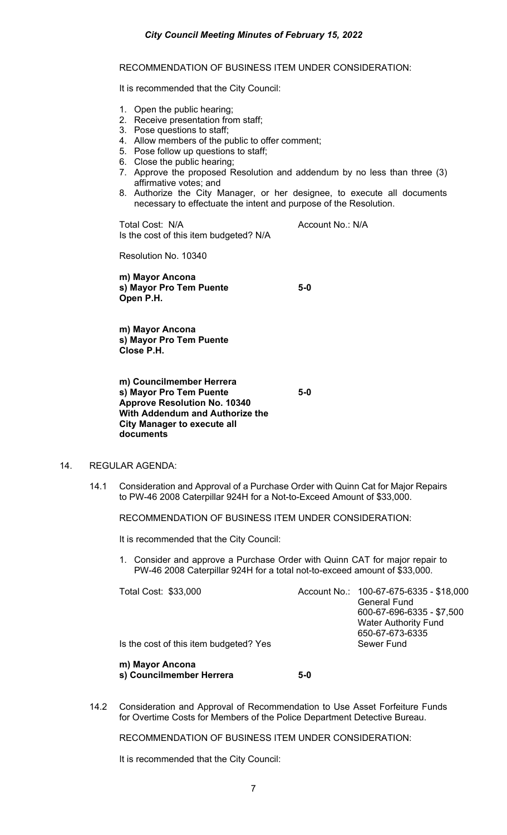RECOMMENDATION OF BUSINESS ITEM UNDER CONSIDERATION:

It is recommended that the City Council:

- 1. Open the public hearing;
- 2. Receive presentation from staff;
- 3. Pose questions to staff;
- 4. Allow members of the public to offer comment;
- 5. Pose follow up questions to staff;
- 6. Close the public hearing;
- 7. Approve the proposed Resolution and addendum by no less than three (3) affirmative votes; and
- 8. Authorize the City Manager, or her designee, to execute all documents necessary to effectuate the intent and purpose of the Resolution.

Total Cost: N/A Account No.: N/A Is the cost of this item budgeted? N/A

Resolution No. 10340

**m) Mayor Ancona s) Mayor Pro Tem Puente 5-0 Open P.H.** 

**m) Mayor Ancona s) Mayor Pro Tem Puente Close P.H.** 

**m) Councilmember Herrera s) Mayor Pro Tem Puente 5-0 Approve Resolution No. 10340 With Addendum and Authorize the City Manager to execute all documents** 

### 14. REGULAR AGENDA:

14.1 Consideration and Approval of a Purchase Order with Quinn Cat for Major Repairs to PW-46 2008 Caterpillar 924H for a Not-to-Exceed Amount of \$33,000.

RECOMMENDATION OF BUSINESS ITEM UNDER CONSIDERATION:

It is recommended that the City Council:

1. Consider and approve a Purchase Order with Quinn CAT for major repair to PW-46 2008 Caterpillar 924H for a total not-to-exceed amount of \$33,000.

| Total Cost: \$33,000                   | Account No.: 100-67-675-6335 - \$18,000          |
|----------------------------------------|--------------------------------------------------|
|                                        | <b>General Fund</b><br>600-67-696-6335 - \$7,500 |
|                                        |                                                  |
|                                        | <b>Water Authority Fund</b>                      |
|                                        | 650-67-673-6335                                  |
| Is the cost of this item budgeted? Yes | Sewer Fund                                       |
|                                        |                                                  |

**m) Mayor Ancona s) Councilmember Herrera 5-0** 

14.2 Consideration and Approval of Recommendation to Use Asset Forfeiture Funds for Overtime Costs for Members of the Police Department Detective Bureau.

RECOMMENDATION OF BUSINESS ITEM UNDER CONSIDERATION:

It is recommended that the City Council: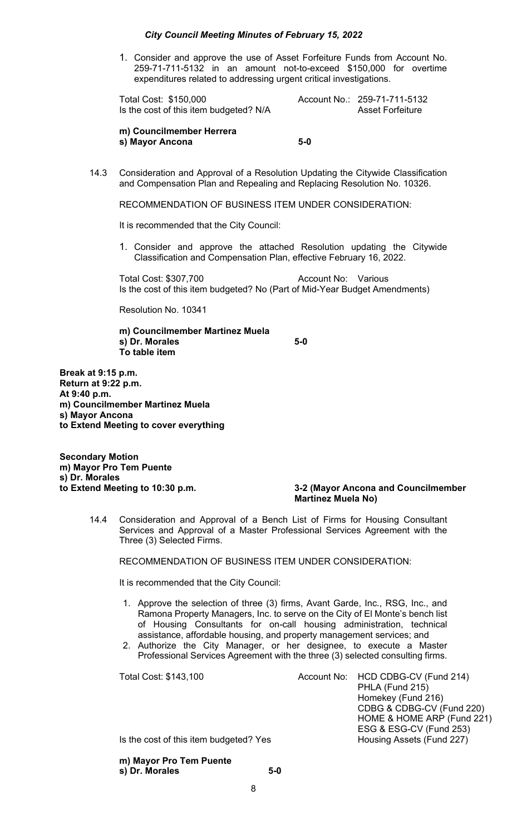1. Consider and approve the use of Asset Forfeiture Funds from Account No. 259-71-711-5132 in an amount not-to-exceed \$150,000 for overtime expenditures related to addressing urgent critical investigations.

Total Cost: \$150,000 Account No.: 259-71-711-5132 Is the cost of this item budgeted? N/A Asset Forfeiture

**m) Councilmember Herrera s) Mayor Ancona 5-0** 

14.3 Consideration and Approval of a Resolution Updating the Citywide Classification and Compensation Plan and Repealing and Replacing Resolution No. 10326.

RECOMMENDATION OF BUSINESS ITEM UNDER CONSIDERATION:

It is recommended that the City Council:

1. Consider and approve the attached Resolution updating the Citywide Classification and Compensation Plan, effective February 16, 2022.

Total Cost: \$307,700 Account No: Various Is the cost of this item budgeted? No (Part of Mid-Year Budget Amendments)

Resolution No. 10341

**m) Councilmember Martinez Muela s**) Dr. Morales 5-0 **To table item** 

**Break at 9:15 p.m. Return at 9:22 p.m. At 9:40 p.m. m) Councilmember Martinez Muela s) Mayor Ancona to Extend Meeting to cover everything** 

**Secondary Motion m) Mayor Pro Tem Puente s) Dr. Morales** 

## **to Extend Meeting to 10:30 p.m. 3-2 (Mayor Ancona and Councilmember Martinez Muela No)**

14.4 Consideration and Approval of a Bench List of Firms for Housing Consultant Services and Approval of a Master Professional Services Agreement with the Three (3) Selected Firms.

RECOMMENDATION OF BUSINESS ITEM UNDER CONSIDERATION:

It is recommended that the City Council:

- 1. Approve the selection of three (3) firms, Avant Garde, Inc., RSG, Inc., and Ramona Property Managers, Inc. to serve on the City of El Monte's bench list of Housing Consultants for on-call housing administration, technical assistance, affordable housing, and property management services; and
- 2. Authorize the City Manager, or her designee, to execute a Master Professional Services Agreement with the three (3) selected consulting firms.

| Total Cost: \$143,100                  | Account No: HCD CDBG-CV (Fund 214) |
|----------------------------------------|------------------------------------|
|                                        | PHLA (Fund 215)                    |
|                                        | Homekey (Fund 216)                 |
|                                        | CDBG & CDBG-CV (Fund 220)          |
|                                        | HOME & HOME ARP (Fund 221)         |
|                                        | ESG & ESG-CV (Fund 253)            |
| Is the cost of this item budgeted? Yes | Housing Assets (Fund 227)          |

**m) Mayor Pro Tem Puente s) Dr. Morales 5-0**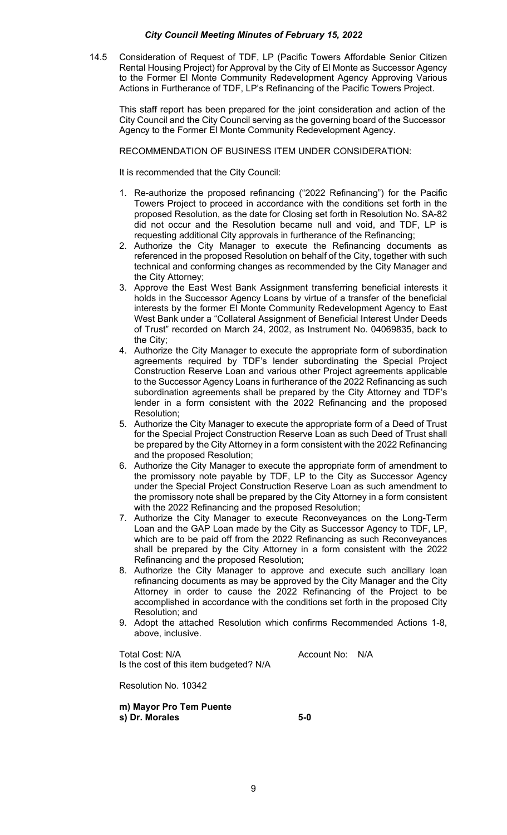14.5 Consideration of Request of TDF, LP (Pacific Towers Affordable Senior Citizen Rental Housing Project) for Approval by the City of El Monte as Successor Agency to the Former El Monte Community Redevelopment Agency Approving Various Actions in Furtherance of TDF, LP's Refinancing of the Pacific Towers Project.

This staff report has been prepared for the joint consideration and action of the City Council and the City Council serving as the governing board of the Successor Agency to the Former El Monte Community Redevelopment Agency.

RECOMMENDATION OF BUSINESS ITEM UNDER CONSIDERATION:

It is recommended that the City Council:

- 1. Re-authorize the proposed refinancing ("2022 Refinancing") for the Pacific Towers Project to proceed in accordance with the conditions set forth in the proposed Resolution, as the date for Closing set forth in Resolution No. SA-82 did not occur and the Resolution became null and void, and TDF, LP is requesting additional City approvals in furtherance of the Refinancing;
- 2. Authorize the City Manager to execute the Refinancing documents as referenced in the proposed Resolution on behalf of the City, together with such technical and conforming changes as recommended by the City Manager and the City Attorney;
- 3. Approve the East West Bank Assignment transferring beneficial interests it holds in the Successor Agency Loans by virtue of a transfer of the beneficial interests by the former El Monte Community Redevelopment Agency to East West Bank under a "Collateral Assignment of Beneficial Interest Under Deeds of Trust" recorded on March 24, 2002, as Instrument No. 04069835, back to the City;
- 4. Authorize the City Manager to execute the appropriate form of subordination agreements required by TDF's lender subordinating the Special Project Construction Reserve Loan and various other Project agreements applicable to the Successor Agency Loans in furtherance of the 2022 Refinancing as such subordination agreements shall be prepared by the City Attorney and TDF's lender in a form consistent with the 2022 Refinancing and the proposed Resolution;
- 5. Authorize the City Manager to execute the appropriate form of a Deed of Trust for the Special Project Construction Reserve Loan as such Deed of Trust shall be prepared by the City Attorney in a form consistent with the 2022 Refinancing and the proposed Resolution;
- 6. Authorize the City Manager to execute the appropriate form of amendment to the promissory note payable by TDF, LP to the City as Successor Agency under the Special Project Construction Reserve Loan as such amendment to the promissory note shall be prepared by the City Attorney in a form consistent with the 2022 Refinancing and the proposed Resolution;
- 7. Authorize the City Manager to execute Reconveyances on the Long-Term Loan and the GAP Loan made by the City as Successor Agency to TDF, LP, which are to be paid off from the 2022 Refinancing as such Reconveyances shall be prepared by the City Attorney in a form consistent with the 2022 Refinancing and the proposed Resolution;
- 8. Authorize the City Manager to approve and execute such ancillary loan refinancing documents as may be approved by the City Manager and the City Attorney in order to cause the 2022 Refinancing of the Project to be accomplished in accordance with the conditions set forth in the proposed City Resolution; and
- 9. Adopt the attached Resolution which confirms Recommended Actions 1-8, above, inclusive.

Total Cost: N/A and Cost: N/A account No: N/A Is the cost of this item budgeted? N/A

Resolution No. 10342

**m) Mayor Pro Tem Puente s) Dr. Morales 5-0**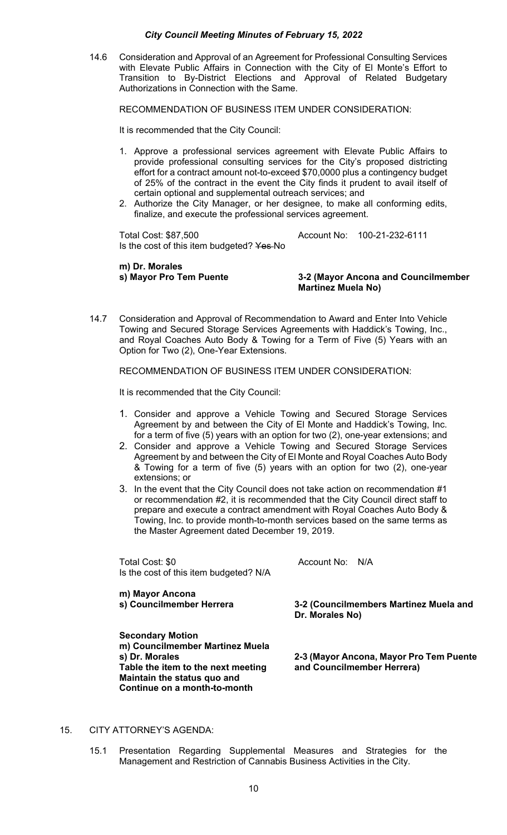14.6 Consideration and Approval of an Agreement for Professional Consulting Services with Elevate Public Affairs in Connection with the City of El Monte's Effort to Transition to By-District Elections and Approval of Related Budgetary Authorizations in Connection with the Same.

RECOMMENDATION OF BUSINESS ITEM UNDER CONSIDERATION:

It is recommended that the City Council:

- 1. Approve a professional services agreement with Elevate Public Affairs to provide professional consulting services for the City's proposed districting effort for a contract amount not-to-exceed \$70,0000 plus a contingency budget of 25% of the contract in the event the City finds it prudent to avail itself of certain optional and supplemental outreach services; and
- 2. Authorize the City Manager, or her designee, to make all conforming edits, finalize, and execute the professional services agreement.

Total Cost: \$87,500 Account No: 100-21-232-6111 Is the cost of this item budgeted? Yes-No

**m) Dr. Morales** 

### **s) Mayor Pro Tem Puente 3-2 (Mayor Ancona and Councilmember Martinez Muela No)**

14.7 Consideration and Approval of Recommendation to Award and Enter Into Vehicle Towing and Secured Storage Services Agreements with Haddick's Towing, Inc., and Royal Coaches Auto Body & Towing for a Term of Five (5) Years with an Option for Two (2), One-Year Extensions.

RECOMMENDATION OF BUSINESS ITEM UNDER CONSIDERATION:

It is recommended that the City Council:

- 1. Consider and approve a Vehicle Towing and Secured Storage Services Agreement by and between the City of El Monte and Haddick's Towing, Inc. for a term of five (5) years with an option for two (2), one-year extensions; and
- 2. Consider and approve a Vehicle Towing and Secured Storage Services Agreement by and between the City of El Monte and Royal Coaches Auto Body & Towing for a term of five (5) years with an option for two (2), one-year extensions; or
- 3. In the event that the City Council does not take action on recommendation #1 or recommendation #2, it is recommended that the City Council direct staff to prepare and execute a contract amendment with Royal Coaches Auto Body & Towing, Inc. to provide month-to-month services based on the same terms as the Master Agreement dated December 19, 2019.

Total Cost: \$0 Account No: N/A Is the cost of this item budgeted? N/A

**m) Mayor Ancona** 

**3-2 (Councilmembers Martinez Muela and Dr. Morales No)** 

**Secondary Motion m) Councilmember Martinez Muela Table the item to the next meeting and Councilmember Herrera) Maintain the status quo and Continue on a month-to-month** 

**s) Dr. Morales 2-3 (Mayor Ancona, Mayor Pro Tem Puente** 

### 15. CITY ATTORNEY'S AGENDA:

15.1 Presentation Regarding Supplemental Measures and Strategies for the Management and Restriction of Cannabis Business Activities in the City.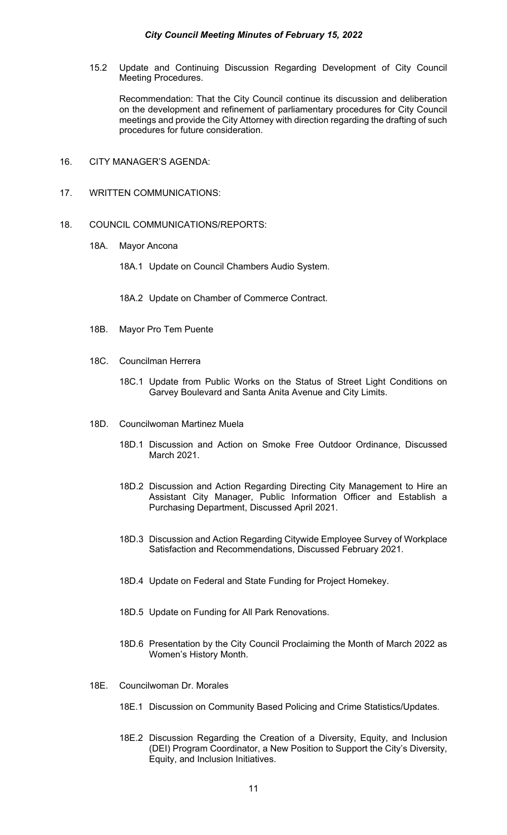15.2 Update and Continuing Discussion Regarding Development of City Council Meeting Procedures.

 Recommendation: That the City Council continue its discussion and deliberation on the development and refinement of parliamentary procedures for City Council meetings and provide the City Attorney with direction regarding the drafting of such procedures for future consideration.

- 16. CITY MANAGER'S AGENDA:
- 17. WRITTEN COMMUNICATIONS:
- 18. COUNCIL COMMUNICATIONS/REPORTS:
	- 18A. Mayor Ancona
		- 18A.1 Update on Council Chambers Audio System.
		- 18A.2 Update on Chamber of Commerce Contract.
	- 18B. Mayor Pro Tem Puente
	- 18C. Councilman Herrera
		- 18C.1 Update from Public Works on the Status of Street Light Conditions on Garvey Boulevard and Santa Anita Avenue and City Limits.
	- 18D. Councilwoman Martinez Muela
		- 18D.1 Discussion and Action on Smoke Free Outdoor Ordinance, Discussed March 2021.
		- 18D.2 Discussion and Action Regarding Directing City Management to Hire an Assistant City Manager, Public Information Officer and Establish a Purchasing Department, Discussed April 2021.
		- 18D.3 Discussion and Action Regarding Citywide Employee Survey of Workplace Satisfaction and Recommendations, Discussed February 2021.
		- 18D.4 Update on Federal and State Funding for Project Homekey.
		- 18D.5 Update on Funding for All Park Renovations.
		- 18D.6 Presentation by the City Council Proclaiming the Month of March 2022 as Women's History Month.
	- 18E. Councilwoman Dr. Morales
		- 18E.1 Discussion on Community Based Policing and Crime Statistics/Updates.
		- 18E.2 Discussion Regarding the Creation of a Diversity, Equity, and Inclusion (DEI) Program Coordinator, a New Position to Support the City's Diversity, Equity, and Inclusion Initiatives.